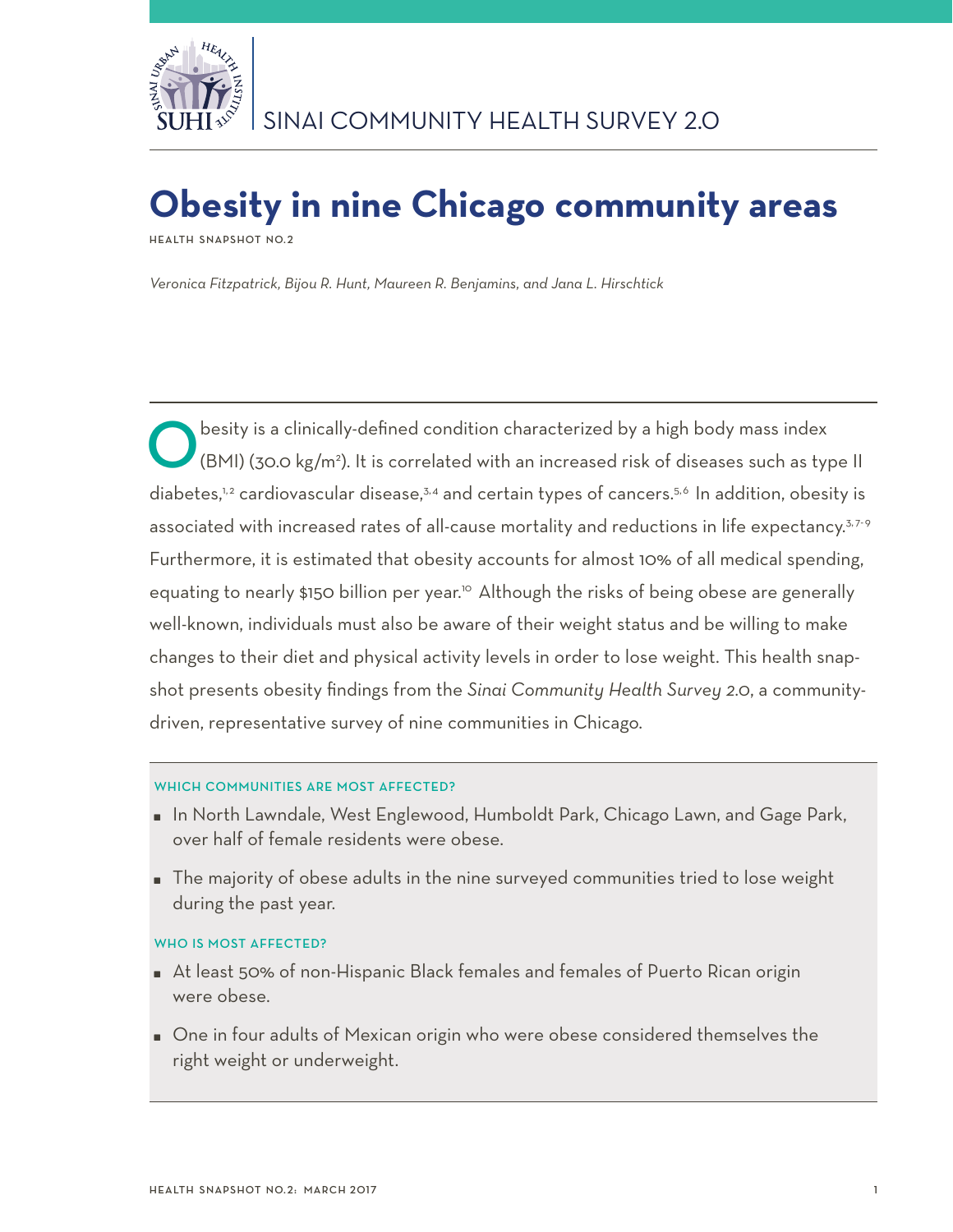

# **Obesity in nine Chicago community areas**

**Health Snapshot No.2**

*Veronica Fitzpatrick, Bijou R. Hunt, Maureen R. Benjamins, and Jana L. Hirschtick*

Obesity is a clinically-defined condition characterized by a high body mass index<br>(BMI) (30.0 kg/m<sup>2</sup>). It is correlated with an increased risk of diseases such as type I diabetes,<sup>1,2</sup> cardiovascular disease,<sup>3,4</sup> and certain types of cancers.<sup>5,6</sup> In addition, obesity is associated with increased rates of all-cause mortality and reductions in life expectancy.<sup>3,7-9</sup> Furthermore, it is estimated that obesity accounts for almost 10% of all medical spending, equating to nearly \$150 billion per year.<sup>10</sup> Although the risks of being obese are generally well-known, individuals must also be aware of their weight status and be willing to make changes to their diet and physical activity levels in order to lose weight. This health snapshot presents obesity findings from the *Sinai Community Health Survey 2.0*, a communitydriven, representative survey of nine communities in Chicago.

## WHICH COMMUNITIES ARE MOST AFFECTED?

- In North Lawndale, West Englewood, Humboldt Park, Chicago Lawn, and Gage Park, over half of female residents were obese.
- The majority of obese adults in the nine surveyed communities tried to lose weight during the past year.

## WHO IS MOST AFFECTED?

- At least 50% of non-Hispanic Black females and females of Puerto Rican origin were obese.
- One in four adults of Mexican origin who were obese considered themselves the right weight or underweight.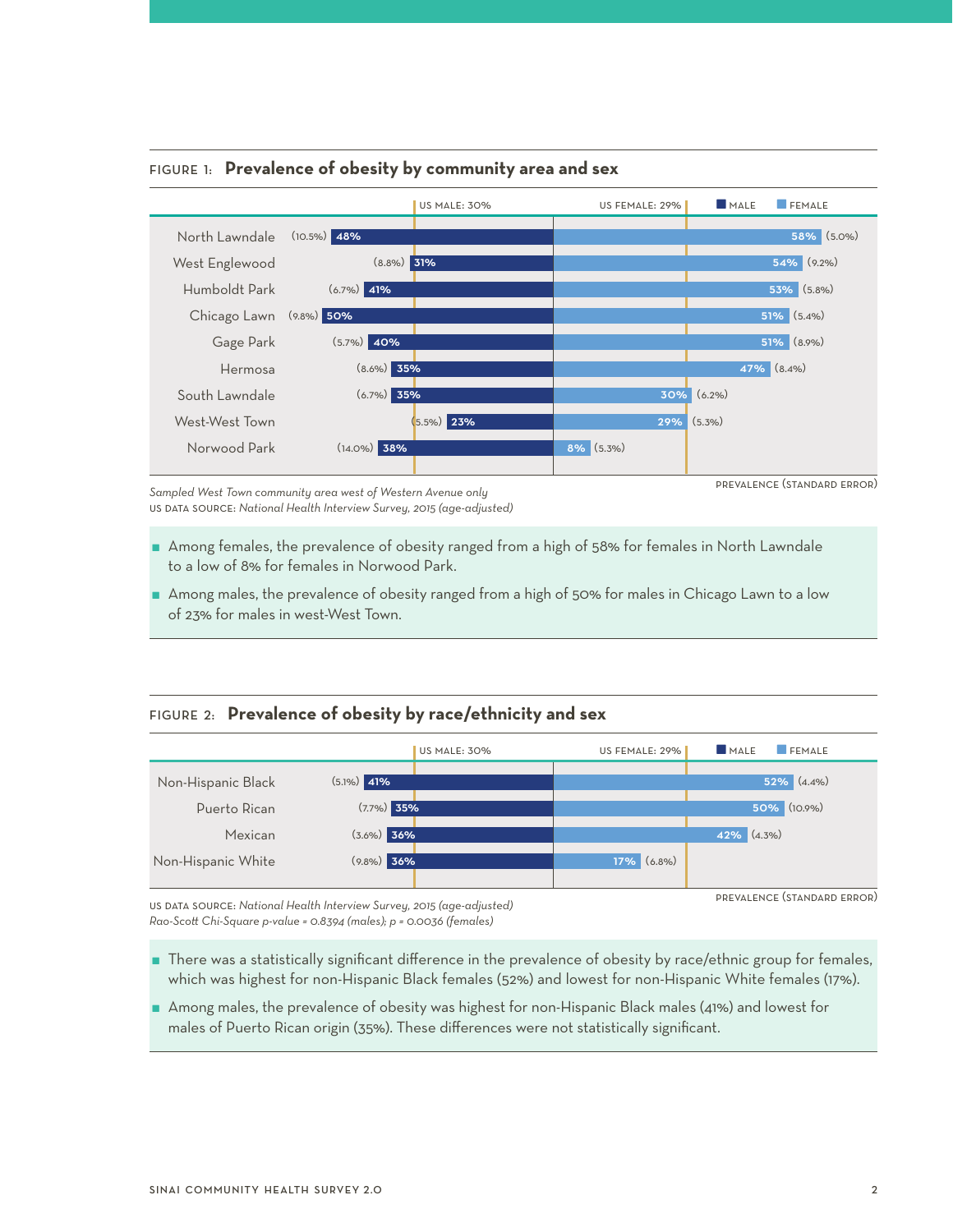

### Figure 1: **Prevalence of obesity by community area and sex**

*Sampled West Town community area west of Western Avenue only*  us data source: *National Health Interview Survey, 2015 (age-adjusted)* 

- Among females, the prevalence of obesity ranged from a high of 58% for females in North Lawndale to a low of 8% for females in Norwood Park.
- Among males, the prevalence of obesity ranged from a high of 50% for males in Chicago Lawn to a low of 23% for males in west-West Town.

## Figure 2: **Prevalence of obesity by race/ethnicity and sex**



us data source: *National Health Interview Survey, 2015 (age-adjusted) Rao-Scott Chi-Square p-value = 0.8394 (males); p = 0.0036 (females)*

- There was a statistically significant difference in the prevalence of obesity by race/ethnic group for females, which was highest for non-Hispanic Black females (52%) and lowest for non-Hispanic White females (17%).
- Among males, the prevalence of obesity was highest for non-Hispanic Black males (41%) and lowest for males of Puerto Rican origin (35%). These differences were not statistically significant.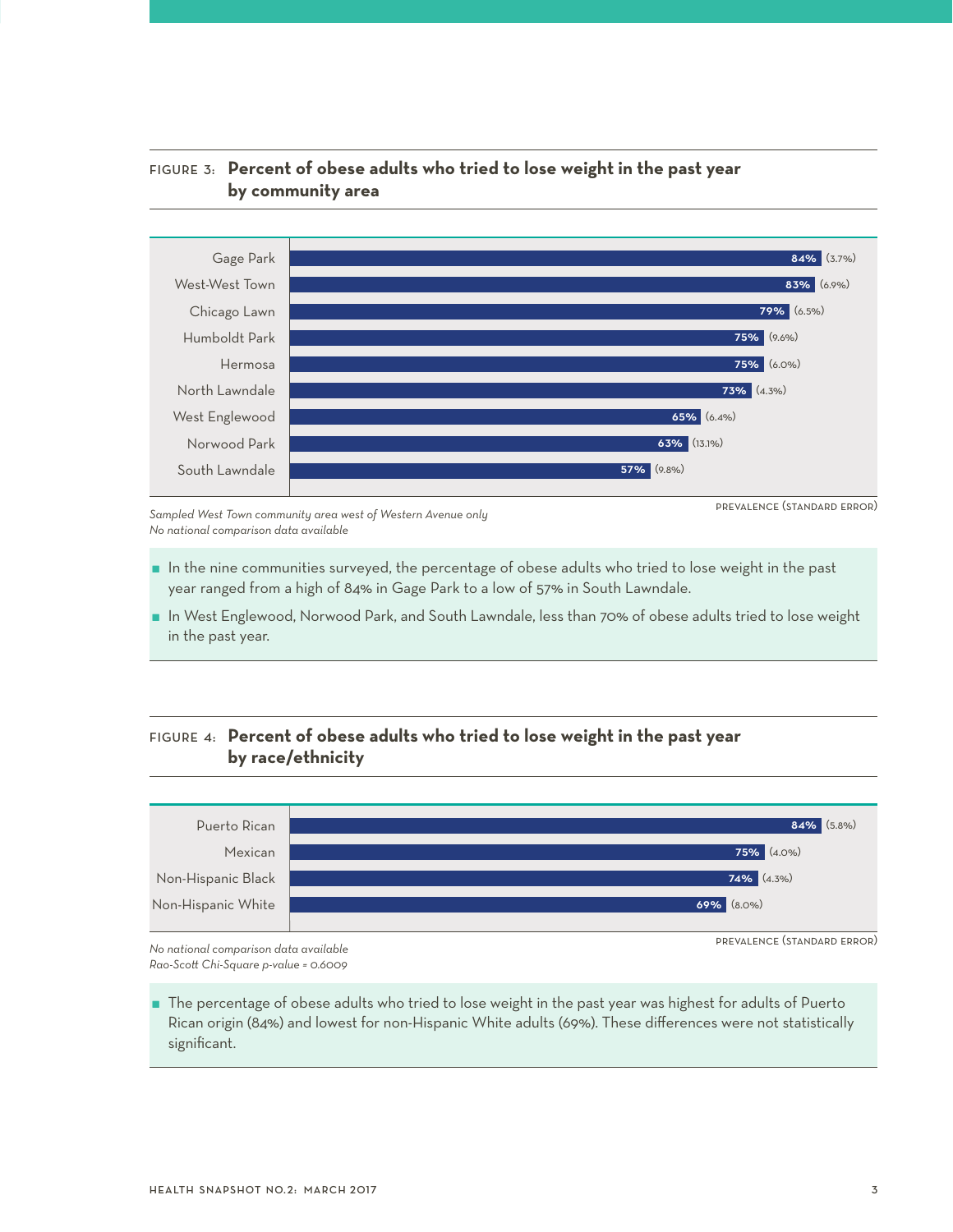

# Figure 3: **Percent of obese adults who tried to lose weight in the past year by community area**

*Sampled West Town community area west of Western Avenue only No national comparison data available*

prevalence (standard error)

- In the nine communities surveyed, the percentage of obese adults who tried to lose weight in the past year ranged from a high of 84% in Gage Park to a low of 57% in South Lawndale.
- In West Englewood, Norwood Park, and South Lawndale, less than 70% of obese adults tried to lose weight in the past year.

# Figure 4: **Percent of obese adults who tried to lose weight in the past year by race/ethnicity**



*No national comparison data available Rao-Scott Chi-Square p-value = 0.6009*

 The percentage of obese adults who tried to lose weight in the past year was highest for adults of Puerto Rican origin (84%) and lowest for non-Hispanic White adults (69%). These differences were not statistically significant.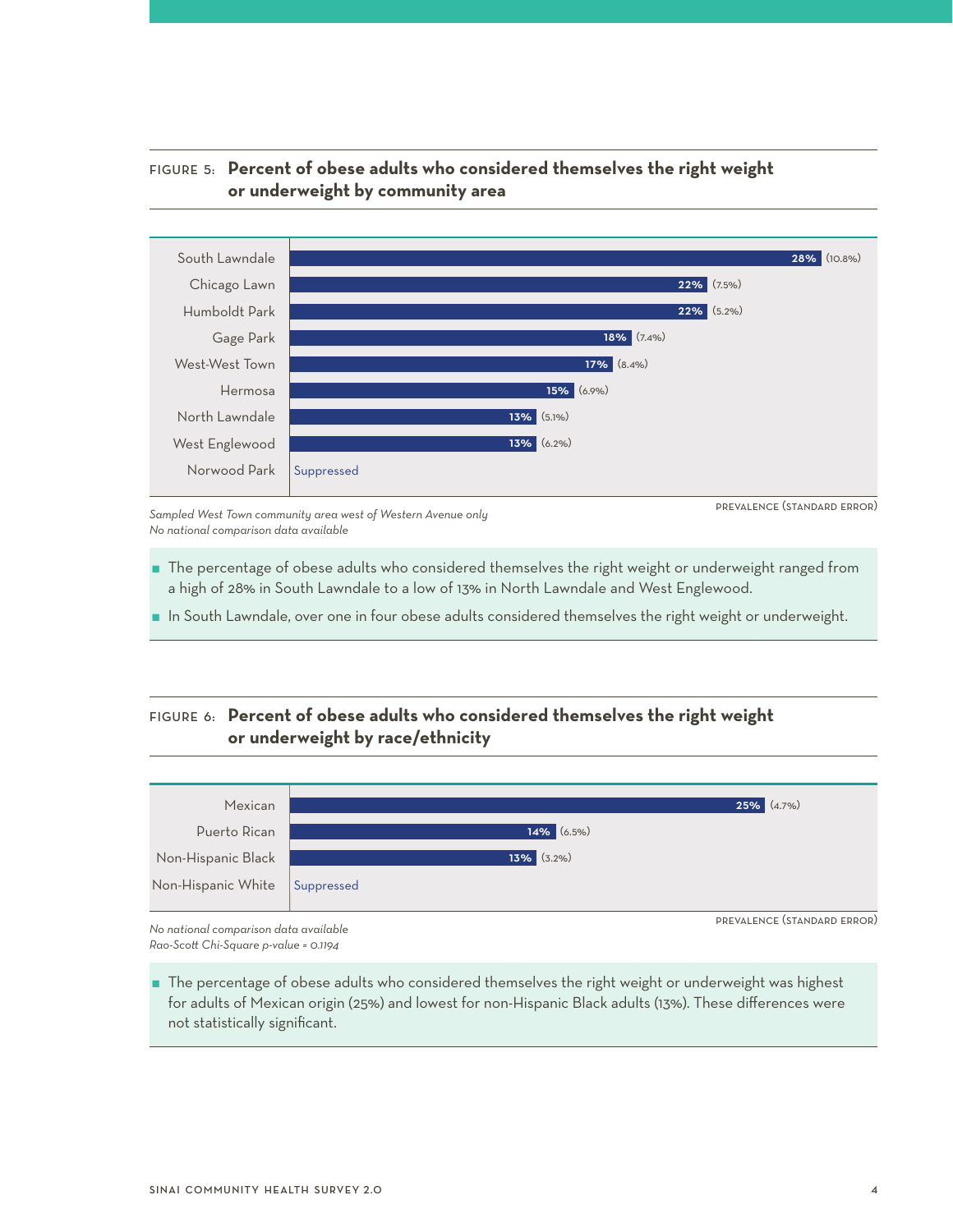

## Figure 5: **Percent of obese adults who considered themselves the right weight or underweight by community area**

*Sampled West Town community area west of Western Avenue only No national comparison data available*

prevalence (standard error)

- The percentage of obese adults who considered themselves the right weight or underweight ranged from a high of 28% in South Lawndale to a low of 13% in North Lawndale and West Englewood.
- In South Lawndale, over one in four obese adults considered themselves the right weight or underweight.

# Figure 6: **Percent of obese adults who considered themselves the right weight or underweight by race/ethnicity**



*No national comparison data available Rao-Scott Chi-Square p-value = 0.1194*

 The percentage of obese adults who considered themselves the right weight or underweight was highest for adults of Mexican origin (25%) and lowest for non-Hispanic Black adults (13%). These differences were not statistically significant.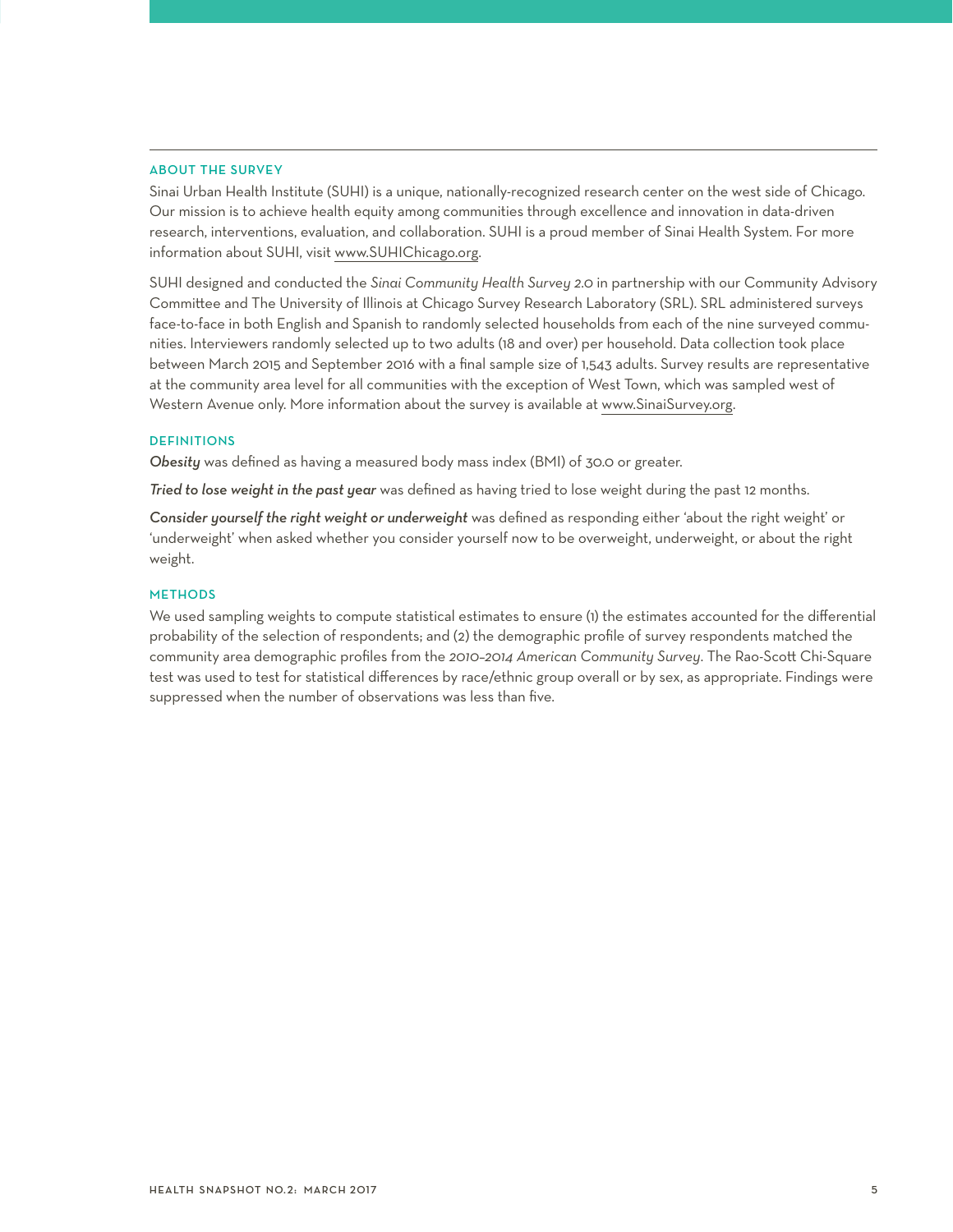#### About the Survey

Sinai Urban Health Institute (SUHI) is a unique, nationally-recognized research center on the west side of Chicago. Our mission is to achieve health equity among communities through excellence and innovation in data-driven research, interventions, evaluation, and collaboration. SUHI is a proud member of Sinai Health System. For more information about SUHI, visit www.SUHIChicago.org.

SUHI designed and conducted the *Sinai Community Health Survey 2.0* in partnership with our Community Advisory Committee and The University of Illinois at Chicago Survey Research Laboratory (SRL). SRL administered surveys face-to-face in both English and Spanish to randomly selected households from each of the nine surveyed communities. Interviewers randomly selected up to two adults (18 and over) per household. Data collection took place between March 2015 and September 2016 with a final sample size of 1,543 adults. Survey results are representative at the community area level for all communities with the exception of West Town, which was sampled west of Western Avenue only. More information about the survey is available at www.SinaiSurvey.org.

#### **DEFINITIONS**

*Obesity* was defined as having a measured body mass index (BMI) of 30.0 or greater.

*Tried to lose weight in the past year* was defined as having tried to lose weight during the past 12 months.

*Consider yourself the right weight or underweight* was defined as responding either 'about the right weight' or 'underweight' when asked whether you consider yourself now to be overweight, underweight, or about the right weight.

#### **METHODS**

We used sampling weights to compute statistical estimates to ensure (1) the estimates accounted for the differential probability of the selection of respondents; and (2) the demographic profile of survey respondents matched the community area demographic profiles from the *2010–2014 American Community Survey*. The Rao-Scott Chi-Square test was used to test for statistical differences by race/ethnic group overall or by sex, as appropriate. Findings were suppressed when the number of observations was less than five.